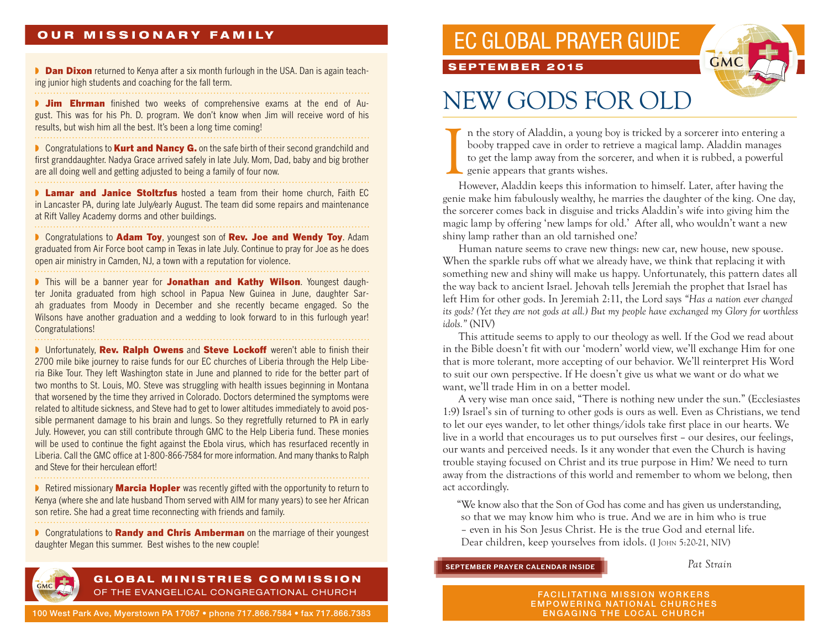### OUR MISSIONARY FAMILY

**Dan Dixon** returned to Kenya after a six month furlough in the USA. Dan is again teaching junior high students and coaching for the fall term.

**If Jim Ehrman** finished two weeks of comprehensive exams at the end of August. This was for his Ph. D. program. We don't know when Jim will receive word of his results, but wish him all the best. It's been a long time coming!

**▶ Congratulations to Kurt and Nancy G.** on the safe birth of their second grandchild and first granddaughter. Nadya Grace arrived safely in late July. Mom, Dad, baby and big brother are all doing well and getting adjusted to being a family of four now.

**Lamar and Janice Stoltzfus** hosted a team from their home church, Faith EC in Lancaster PA, during late July/early August. The team did some repairs and maintenance at Rift Valley Academy dorms and other buildings. 

■ Congratulations to Adam Toy, youngest son of Rev. Joe and Wendy Toy. Adam graduated from Air Force boot camp in Texas in late July. Continue to pray for Joe as he does open air ministry in Camden, NJ, a town with a reputation for violence. 

I This will be a banner year for Jonathan and Kathy Wilson. Youngest daughter Jonita graduated from high school in Papua New Guinea in June, daughter Sarah graduates from Moody in December and she recently became engaged. So the Wilsons have another graduation and a wedding to look forward to in this furlough year! Congratulations!

**I** Unfortunately, **Rev. Ralph Owens** and **Steve Lockoff** weren't able to finish their 2700 mile bike journey to raise funds for our EC churches of Liberia through the Help Liberia Bike Tour. They left Washington state in June and planned to ride for the better part of two months to St. Louis, MO. Steve was struggling with health issues beginning in Montana that worsened by the time they arrived in Colorado. Doctors determined the symptoms were related to altitude sickness, and Steve had to get to lower altitudes immediately to avoid possible permanent damage to his brain and lungs. So they regretfully returned to PA in early July. However, you can still contribute through GMC to the Help Liberia fund. These monies will be used to continue the fight against the Ebola virus, which has resurfaced recently in Liberia. Call the GMC office at 1-800-866-7584 for more information. And many thanks to Ralph and Steve for their herculean effort!

**▶ Retired missionary Marcia Hopler** was recently gifted with the opportunity to return to Kenya (where she and late husband Thom served with AIM for many years) to see her African son retire. She had a great time reconnecting with friends and family.

**▶ Congratulations to Randy and Chris Amberman** on the marriage of their youngest daughter Megan this summer. Best wishes to the new couple!



### GLOBAL MINISTRIES COMMISSION OF THE EVANGELICAL CONGREGATIONAL CHURCH

100 West Park Ave, Myerstown PA 17067 • phone 717.866.7584 • fax 717.866.7383

## EC GLOBAL PRAYER GUIDE

SEPTEMBER 2015



# NEW GODS FOR OLD

I n the story of Aladdin, a young boy is tricked by a sorcerer into entering a booby trapped cave in order to retrieve a magical lamp. Aladdin manages to get the lamp away from the sorcerer, and when it is rubbed, a powerful eenie appears that grants wishes.

However, Aladdin keeps this information to himself. Later, after having the genie make him fabulously wealthy, he marries the daughter of the king. One day, the sorcerer comes back in disguise and tricks Aladdin's wife into giving him the magic lamp by offering 'new lamps for old.' After all, who wouldn't want a new shiny lamp rather than an old tarnished one?

Human nature seems to crave new things: new car, new house, new spouse. When the sparkle rubs off what we already have, we think that replacing it with something new and shiny will make us happy. Unfortunately, this pattern dates all the way back to ancient Israel. Jehovah tells Jeremiah the prophet that Israel has left Him for other gods. In Jeremiah 2:11, the Lord says *"Has a nation ever changed its gods? (Yet they are not gods at all.) But my people have exchanged my Glory for worthless idols."* (NIV)

This attitude seems to apply to our theology as well. If the God we read about in the Bible doesn't fit with our 'modern' world view, we'll exchange Him for one that is more tolerant, more accepting of our behavior. We'll reinterpret His Word to suit our own perspective. If He doesn't give us what we want or do what we want, we'll trade Him in on a better model.

A very wise man once said, "There is nothing new under the sun." (Ecclesiastes 1:9) Israel's sin of turning to other gods is ours as well. Even as Christians, we tend to let our eyes wander, to let other things/idols take first place in our hearts. We live in a world that encourages us to put ourselves first – our desires, our feelings, our wants and perceived needs. Is it any wonder that even the Church is having trouble staying focused on Christ and its true purpose in Him? We need to turn away from the distractions of this world and remember to whom we belong, then act accordingly.

"We know also that the Son of God has come and has given us understanding, so that we may know him who is true. And we are in him who is true – even in his Son Jesus Christ. He is the true God and eternal life. Dear children, keep yourselves from idols. (I John 5:20-21, NIV)

#### **SEPTEMBER PRAYER CALENDAR INSIDE**

*Pat Strain*

FACILITATING MISSION WORKERS EMPOWERING NATIONAL CHURCHES ENGAGING THE LOCAL CHURCH